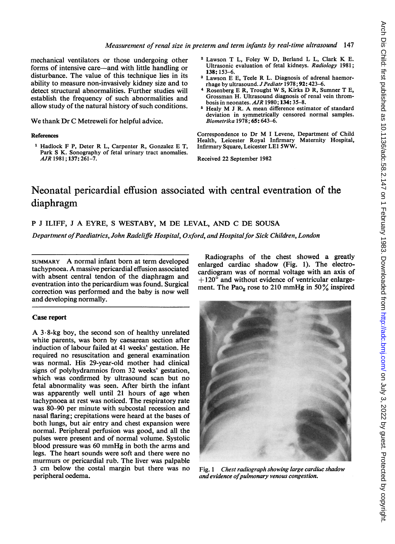mechanical ventilators or those undergoing other forms of intensive care—and with little handling or disturbance. The value of this technique lies in its ability to measure non-invasively kidney size and to detect structural abnormalities. Further studies will establish the frequency of such abnormalities and allow study of the natural history of such conditions.

We thank Dr C Metreweli for helpful advice.

#### References

Hadlock F P, Deter R L, Carpenter R, Gonzalez E T, Park S K. Sonography of fetal urinary tract anomalies. AJR 1981; 137: 261-7.

- <sup>2</sup> Lawson <sup>T</sup> L, Foley W D, Berland <sup>L</sup> L, Clark K E. Ultrasonic evaluation of fetal kidneys. Radiology 1981; 138:153-6.
- <sup>3</sup> Lawson E E, Teele R L. Diagnosis of adrenal haemorrhage by ultrasound. J Pediatr 1978; 92: 423-6.
- <sup>4</sup> Rosenberg <sup>E</sup> R, Trought W S, Kirks D R, Sumner <sup>T</sup> E, Grossman H. Ultrasound diagnosis of renal vein thrombosis in neonates. AJR 1980; 134: 35-8.
- Healy M J R. A mean difference estimator of standard deviation in symmetrically censored normal samples. Biometrika 1978; 65: 643-6.

Correspondence to Dr M <sup>I</sup> Levene, Department of Child Health, Leicester Royal Infirmary Maternity Hospital, Infirmary Square, Leicester LEI 5WW.

Received 22 September 1982

# Neonatal pericardial effusion associated with central eventration of the diaphragm

## <sup>P</sup> <sup>J</sup> ILIFF, <sup>J</sup> A EYRE, <sup>S</sup> WESTABY, M DE LEVAL, AND C DE SOUSA

Department of Paediatrics, John Radcliffe Hospital, Oxford, and Hospital for Sick Children, London

SUMMARY A normal infant born at term developed tachypnoea. Amassive pericardial effusion associated with absent central tendon of the diaphragm and eventration into the pericardium was found. Surgical correction was performed and the baby is now well and developing normally.

### Case report

A  $3.8$ -kg boy, the second son of healthy unrelated white parents, was born by caesarean section after induction of labour failed at 41 weeks' gestation. He required no resuscitation and general examination was normal. His 29-year-old mother had clinical signs of polyhydramnios from 32 weeks' gestation, which was confirmed by ultrasound scan but no fetal abnormality was seen. After birth the infant was apparently well until 21 hours of age when tachypnoea at rest was noticed. The respiratory rate was 80-90 per minute with subcostal recession and nasal flaring; crepitations were heard at the bases of both lungs, but air entry and chest expansion were normal. Peripheral perfusion was good, and all the pulses were present and of normal volume. Systolic blood pressure was <sup>60</sup> mmHg in both the arms and legs. The heart sounds were soft and there were no murmurs or pericardial rub. The liver was palpable <sup>3</sup> cm below the costal margin but there was no peripheral oedema.

Radiographs of the chest showed a greatly enlarged cardiac shadow (Fig. 1). The electrocardiogram was of normal voltage with an axis of  $+ 120^{\circ}$  and without evidence of ventricular enlargement. The Pao<sub>2</sub> rose to 210 mmHg in 50 $\%$  inspired



Fig. <sup>1</sup> Chest radiograph showing large cardiac shadow and evidence of pulmonary venous congestion.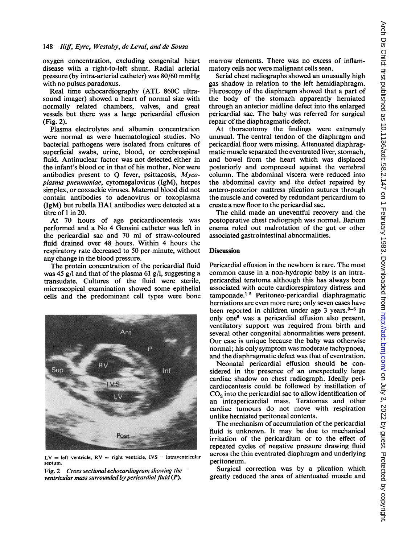oxygen concentration, excluding congenital heart disease with a right-to-left shunt. Radial arterial pressure (by intra-arterial catheter) was 80/60 mmHg with no pulsus paradoxus.

Real time echocardiography (ATL 860C ultrasound imager) showed a heart of normal size with normally related chambers, valves, and great vessels but there was a large pericardial effusion (Fig. 2).

Plasma electrolytes and albumin concentration were normal as were haematological studies. No bacterial pathogens were isolated from cultures of superficial swabs, urine, blood, or cerebrospinal fluid. Antinuclear factor was not detected either in the infant's blood or in that of his mother. Nor were antibodies present to Q fever, psittacosis, Mycoplasma pneumoniae, cytomegalovirus (IgM), herpes simplex, or coxsackie viruses. Maternal blood did not contain antibodies to adenovirus or toxoplasma (IgM) but rubella HAl antibodies were detected at a titre of <sup>1</sup> in 20.

At 70 hours of age pericardiocentesis was performed and a No 4 Gensini catheter was left in the pericardial sac and 70 ml of straw-coloured fluid drained over 48 hours. Within 4 hours the respiratory rate decreased to 50 per minute, without any change in the blood pressure.

The protein concentration of the pericardial fluid was 45 g/l and that of the plasma 61 g/l, suggesting a transudate. Cultures of the fluid were sterile, microscopical examination showed some epithelial cells and the predominant cell types were bone



 $LV = left$  ventricle,  $RV = right$  ventricle,  $IVS = intraventricular$ septum.

Fig. 2 Cross sectional echocardiogram showing the ventricular mass surrounded by pericardial fluid (P).

marrow elements. There was no excess of inflammatory cells nor were malignant cells seen.

Serial chest radiographs showed an unusually high gas shadow in relation to the left hemidiaphragm. Fluroscopy of the diaphragm showed that a part of the body of the stomach apparently herniated through an anterior midline defect into the enlarged pericardial sac. The baby was referred for surgical repair of the diaphragmatic defect.

At thoracotomy the findings were extremely unusual. The central tendon of the diaphragm and pericardial floor were missing. Attenuated diaphragmatic muscle separated the eventrated liver, stomach, and bowel from the heart which was displaced posteriorly and compressed against the vertebral column. The abdominal viscera were reduced into the abdominal cavity and the defect repaired by antero-posterior mattress plication sutures through the muscle and covered by redundant pericardium to create a new floor to the pericardial sac.

The child made an uneventful recovery and the postoperative chest radiograph was normal. Barium enema ruled out malrotation of the gut or other associated gastrointestinal abnormalities.

### **Discussion**

Pericardial effusion in the newborn is rare. The most common cause in a non-hydropic baby is an intrapericardial teratoma although this has always been associated with acute cardiorespiratory distress and tamponade.1 <sup>2</sup> Peritoneo-pericardial diaphragmatic herniations are even more rare; only seven cases have been reported in children under age 3 years.<sup>3-6</sup> In only one6 was a pericardial effusion also present, ventilatory support was required from birth and several other congenital abnormalities were present. Our case is unique because the baby was otherwise normal; his only symptom was moderate tachypnoea, and the diaphragmatic defect was that of eventration.

Neonatal pericardial effusion should be considered in the presence of an unexpectedly large cardiac shadow on chest radiograph. Ideally pericardiocentesis could be followed by instillation of CO<sub>2</sub> into the pericardial sac to allow identification of an intrapericardial mass. Teratomas and other cardiac tumours do not move with respiration unlike herniated peritoneal contents.

The mechanism of accumulation of the pericardial fluid is unknown. It may be due to mechanical irritation of the pericardium or to the effect of repeated cycles of negative pressure drawing fluid across the thin eventrated diaphragm and underlying peritoneum.

Surgical correction was by a plication which greatly reduced the area of attentuated muscle and